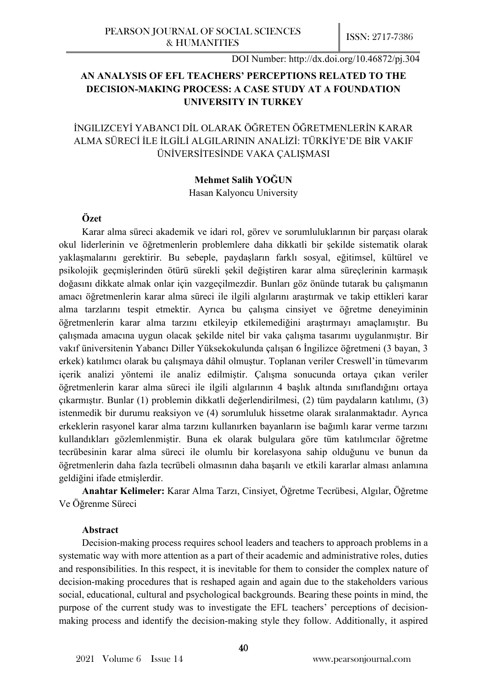# **AN ANALYSIS OF EFL TEACHERS' PERCEPTIONS RELATED TO THE DECISION-MAKING PROCESS: A CASE STUDY AT A FOUNDATION UNIVERSITY IN TURKEY**

# İNGILIZCEYİ YABANCI DİL OLARAK ÖĞRETEN ÖĞRETMENLERİN KARAR ALMA SÜRECİ İLE İLGİLİ ALGILARININ ANALİZİ: TÜRKİYE'DE BİR VAKIF ÜNİVERSİTESİNDE VAKA ÇALIŞMASI

## **Mehmet Salih YOĞUN**

Hasan Kalyoncu University

## **Özet**

Karar alma süreci akademik ve idari rol, görev ve sorumluluklarının bir parçası olarak okul liderlerinin ve öğretmenlerin problemlere daha dikkatli bir şekilde sistematik olarak yaklaşmalarını gerektirir. Bu sebeple, paydaşların farklı sosyal, eğitimsel, kültürel ve psikolojik geçmişlerinden ötürü sürekli şekil değiştiren karar alma süreçlerinin karmaşık doğasını dikkate almak onlar için vazgeçilmezdir. Bunları göz önünde tutarak bu çalışmanın amacı öğretmenlerin karar alma süreci ile ilgili algılarını araştırmak ve takip ettikleri karar alma tarzlarını tespit etmektir. Ayrıca bu çalışma cinsiyet ve öğretme deneyiminin öğretmenlerin karar alma tarzını etkileyip etkilemediğini araştırmayı amaçlamıştır. Bu çalışmada amacına uygun olacak şekilde nitel bir vaka çalışma tasarımı uygulanmıştır. Bir vakıf üniversitenin Yabancı Diller Yüksekokulunda çalışan 6 İngilizce öğretmeni (3 bayan, 3 erkek) katılımcı olarak bu çalışmaya dâhil olmuştur. Toplanan veriler Creswell'in tümevarım içerik analizi yöntemi ile analiz edilmiştir. Çalışma sonucunda ortaya çıkan veriler öğretmenlerin karar alma süreci ile ilgili algılarının 4 başlık altında sınıflandığını ortaya çıkarmıştır. Bunlar (1) problemin dikkatli değerlendirilmesi, (2) tüm paydaların katılımı, (3) istenmedik bir durumu reaksiyon ve (4) sorumluluk hissetme olarak sıralanmaktadır. Ayrıca erkeklerin rasyonel karar alma tarzını kullanırken bayanların ise bağımlı karar verme tarzını kullandıkları gözlemlenmiştir. Buna ek olarak bulgulara göre tüm katılımcılar öğretme tecrübesinin karar alma süreci ile olumlu bir korelasyona sahip olduğunu ve bunun da öğretmenlerin daha fazla tecrübeli olmasının daha başarılı ve etkili kararlar alması anlamına geldiğini ifade etmişlerdir.

**Anahtar Kelimeler:** Karar Alma Tarzı, Cinsiyet, Öğretme Tecrübesi, Algılar, Öğretme Ve Öğrenme Süreci

#### **Abstract**

Decision-making process requires school leaders and teachers to approach problems in a systematic way with more attention as a part of their academic and administrative roles, duties and responsibilities. In this respect, it is inevitable for them to consider the complex nature of decision-making procedures that is reshaped again and again due to the stakeholders various social, educational, cultural and psychological backgrounds. Bearing these points in mind, the purpose of the current study was to investigate the EFL teachers' perceptions of decisionmaking process and identify the decision-making style they follow. Additionally, it aspired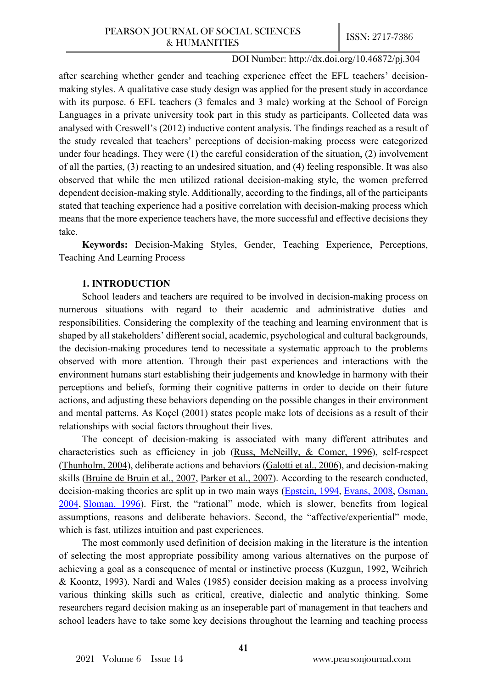after searching whether gender and teaching experience effect the EFL teachers' decisionmaking styles. A qualitative case study design was applied for the present study in accordance with its purpose. 6 EFL teachers (3 females and 3 male) working at the School of Foreign Languages in a private university took part in this study as participants. Collected data was analysed with Creswell's (2012) inductive content analysis. The findings reached as a result of the study revealed that teachers' perceptions of decision-making process were categorized under four headings. They were (1) the careful consideration of the situation, (2) involvement of all the parties, (3) reacting to an undesired situation, and (4) feeling responsible. It was also observed that while the men utilized rational decision-making style, the women preferred dependent decision-making style. Additionally, according to the findings, all of the participants stated that teaching experience had a positive correlation with decision-making process which means that the more experience teachers have, the more successful and effective decisions they take.

**Keywords:** Decision-Making Styles, Gender, Teaching Experience, Perceptions, Teaching And Learning Process

# **1. INTRODUCTION**

School leaders and teachers are required to be involved in decision-making process on numerous situations with regard to their academic and administrative duties and responsibilities. Considering the complexity of the teaching and learning environment that is shaped by all stakeholders' different social, academic, psychological and cultural backgrounds, the decision-making procedures tend to necessitate a systematic approach to the problems observed with more attention. Through their past experiences and interactions with the environment humans start establishing their judgements and knowledge in harmony with their perceptions and beliefs, forming their cognitive patterns in order to decide on their future actions, and adjusting these behaviors depending on the possible changes in their environment and mental patterns. As Koçel (2001) states people make lots of decisions as a result of their relationships with social factors throughout their lives.

The concept of decision-making is associated with many different attributes and characteristics such as efficiency in job [\(Russ, McNeilly, & Comer, 1996\)](https://www.sciencedirect.com/science/article/pii/S0191886915002974#b0195), self-respect [\(Thunholm, 2004\)](https://www.sciencedirect.com/science/article/pii/S0191886915002974#b0270), deliberate actions and behaviors [\(Galotti et al., 2](https://www.sciencedirect.com/science/article/pii/S0191886915002974#b0085)006), and decision-making skills [\(Bruine de Bruin et al., 2007,](https://www.sciencedirect.com/science/article/pii/S0191886915002974#b0030) [Parker et al., 2007\)](https://www.sciencedirect.com/science/article/pii/S0191886915002974#b0175). According to the research conducted, decision-making theories are split up in two main ways [\(Epstein, 1994,](https://www.sciencedirect.com/science/article/pii/S0191886915002974#b0060) [Evans, 2008,](https://www.sciencedirect.com/science/article/pii/S0191886915002974#b0070) Osman, [2004](https://www.sciencedirect.com/science/article/pii/S0191886915002974#b0170), [Sloman, 1996\)](https://www.sciencedirect.com/science/article/pii/S0191886915002974#b0225). First, the "rational" mode, which is slower, benefits from logical assumptions, reasons and deliberate behaviors. Second, the "affective/experiential" mode, which is fast, utilizes intuition and past experiences.

The most commonly used definition of decision making in the literature is the intention of selecting the most appropriate possibility among various alternatives on the purpose of achieving a goal as a consequence of mental or instinctive process (Kuzgun, 1992, Weihrich & Koontz, 1993). Nardi and Wales (1985) consider decision making as a process involving various thinking skills such as critical, creative, dialectic and analytic thinking. Some researchers regard decision making as an inseperable part of management in that teachers and school leaders have to take some key decisions throughout the learning and teaching process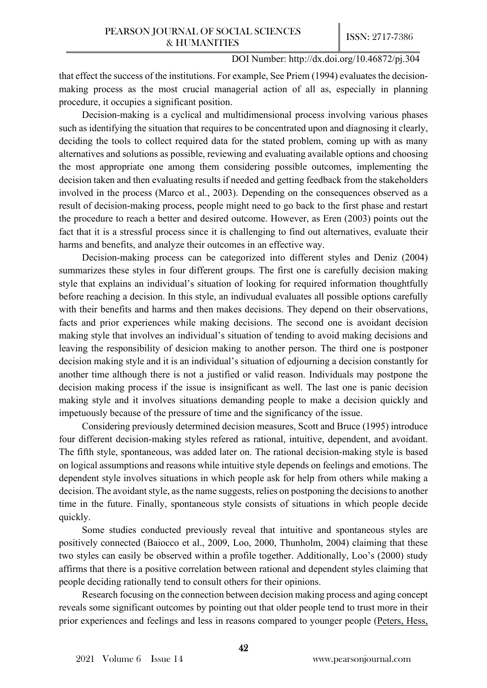that effect the success of the institutions. For example, See Priem (1994) evaluates the decisionmaking process as the most crucial managerial action of all as, especially in planning procedure, it occupies a significant position.

Decision-making is a cyclical and multidimensional process involving various phases such as identifying the situation that requires to be concentrated upon and diagnosing it clearly, deciding the tools to collect required data for the stated problem, coming up with as many alternatives and solutions as possible, reviewing and evaluating available options and choosing the most appropriate one among them considering possible outcomes, implementing the decision taken and then evaluating results if needed and getting feedback from the stakeholders involved in the process (Marco et al., 2003). Depending on the consequences observed as a result of decision-making process, people might need to go back to the first phase and restart the procedure to reach a better and desired outcome. However, as Eren (2003) points out the fact that it is a stressful process since it is challenging to find out alternatives, evaluate their harms and benefits, and analyze their outcomes in an effective way.

Decision-making process can be categorized into different styles and Deniz (2004) summarizes these styles in four different groups. The first one is carefully decision making style that explains an individual's situation of looking for required information thoughtfully before reaching a decision. In this style, an indivudual evaluates all possible options carefully with their benefits and harms and then makes decisions. They depend on their observations, facts and prior experiences while making decisions. The second one is avoidant decision making style that involves an individual's situation of tending to avoid making decisions and leaving the responsibility of desicion making to another person. The third one is postponer decision making style and it is an individual's situation of edjourning a decision constantly for another time although there is not a justified or valid reason. Individuals may postpone the decision making process if the issue is insignificant as well. The last one is panic decision making style and it involves situations demanding people to make a decision quickly and impetuously because of the pressure of time and the significancy of the issue.

Considering previously determined decision measures, Scott and Bruce (1995) introduce four different decision-making styles refered as rational, intuitive, dependent, and avoidant. The fifth style, spontaneous, was added later on. The rational decision-making style is based on logical assumptions and reasons while intuitive style depends on feelings and emotions. The dependent style involves situations in which people ask for help from others while making a decision. The avoidant style, as the name suggests, relies on postponing the decisions to another time in the future. Finally, spontaneous style consists of situations in which people decide quickly.

Some studies conducted previously reveal that intuitive and spontaneous styles are positively connected (Baiocco et al., 2009, Loo, 2000, Thunholm, 2004) claiming that these two styles can easily be observed within a profile together. Additionally, Loo's (2000) study affirms that there is a positive correlation between rational and dependent styles claiming that people deciding rationally tend to consult others for their opinions.

Research focusing on the connection between decision making process and aging concept reveals some significant outcomes by pointing out that older people tend to trust more in their prior experiences and feelings and less in reasons compared to younger people [\(Peters, Hess,](https://www.sciencedirect.com/science/article/pii/S0191886915002974#b0180)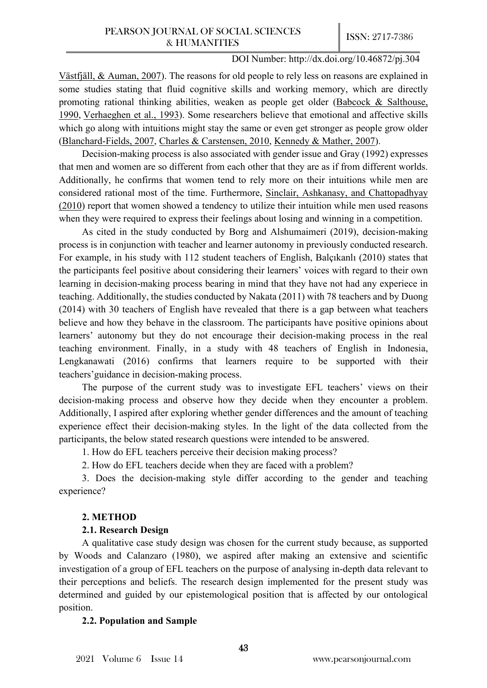[Västfjäll, & Auman, 2007\)](https://www.sciencedirect.com/science/article/pii/S0191886915002974#b0180). The reasons for old people to rely less on reasons are explained in some studies stating that fluid cognitive skills and working memory, which are directly promoting rational thinking abilities, weaken as people get older (Babcock & Salthouse, [1990,](https://www.sciencedirect.com/science/article/pii/S0191886915002974#b0015) [Verhaeghen et al., 1993\)](https://www.sciencedirect.com/science/article/pii/S0191886915002974#b0275). Some researchers believe that emotional and affective skills which go along with intuitions might stay the same or even get stronger as people grow older (Blanchard-[Fields, 2007,](https://www.sciencedirect.com/science/article/pii/S0191886915002974#b0025) [Charles & Carstensen, 2010,](https://www.sciencedirect.com/science/article/pii/S0191886915002974#b0045) [Kennedy & Mather, 2007\)](https://www.sciencedirect.com/science/article/pii/S0191886915002974#b0125).

Decision-making process is also associated with gender issue and Gray (1992) expresses that men and women are so different from each other that they are as if from different worlds. Additionally, he confirms that women tend to rely more on their intuitions while men are considered rational most of the time. Furthermore, [Sinclair, Ashkanasy, and Chattopadhyay](https://www.sciencedirect.com/science/article/pii/S0191886915002974#b0220)  [\(2010\)](https://www.sciencedirect.com/science/article/pii/S0191886915002974#b0220) report that women showed a tendency to utilize their intuition while men used reasons when they were required to express their feelings about losing and winning in a competition.

As cited in the study conducted by Borg and Alshumaimeri (2019), decision-making process is in conjunction with teacher and learner autonomy in previously conducted research. For example, in his study with 112 student teachers of English, Balçıkanlı (2010) states that the participants feel positive about considering their learners' voices with regard to their own learning in decision-making process bearing in mind that they have not had any experiece in teaching. Additionally, the studies conducted by Nakata (2011) with 78 teachers and by Duong (2014) with 30 teachers of English have revealed that there is a gap between what teachers believe and how they behave in the classroom. The participants have positive opinions about learners' autonomy but they do not encourage their decision-making process in the real teaching environment. Finally, in a study with 48 teachers of English in Indonesia, Lengkanawati (2016) confirms that learners require to be supported with their teachers'guidance in decision-making process.

The purpose of the current study was to investigate EFL teachers' views on their decision-making process and observe how they decide when they encounter a problem. Additionally, I aspired after exploring whether gender differences and the amount of teaching experience effect their decision-making styles. In the light of the data collected from the participants, the below stated research questions were intended to be answered.

1. How do EFL teachers perceive their decision making process?

2. How do EFL teachers decide when they are faced with a problem?

3. Does the decision-making style differ according to the gender and teaching experience?

## **2. METHOD**

## **2.1. Research Design**

A qualitative case study design was chosen for the current study because, as supported by Woods and Calanzaro (1980), we aspired after making an extensive and scientific investigation of a group of EFL teachers on the purpose of analysing in-depth data relevant to their perceptions and beliefs. The research design implemented for the present study was determined and guided by our epistemological position that is affected by our ontological position.

## **2.2. Population and Sample**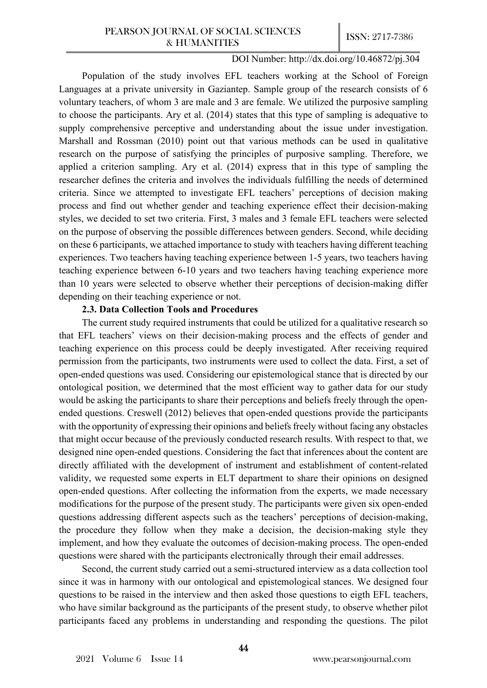Population of the study involves EFL teachers working at the School of Foreign Languages at a private university in Gaziantep. Sample group of the research consists of 6 voluntary teachers, of whom 3 are male and 3 are female. We utilized the purposive sampling to choose the participants. Ary et al. (2014) states that this type of sampling is adequative to supply comprehensive perceptive and understanding about the issue under investigation. Marshall and Rossman (2010) point out that various methods can be used in qualitative research on the purpose of satisfying the principles of purposive sampling. Therefore, we applied a criterion sampling. Ary et al. (2014) express that in this type of sampling the researcher defines the criteria and involves the individuals fulfilling the needs of determined criteria. Since we attempted to investigate EFL teachers' perceptions of decision making process and find out whether gender and teaching experience effect their decision-making styles, we decided to set two criteria. First, 3 males and 3 female EFL teachers were selected on the purpose of observing the possible differences between genders. Second, while deciding on these 6 participants, we attached importance to study with teachers having different teaching experiences. Two teachers having teaching experience between 1-5 years, two teachers having teaching experience between 6-10 years and two teachers having teaching experience more than 10 years were selected to observe whether their perceptions of decision-making differ depending on their teaching experience or not.

## **2.3. Data Collection Tools and Procedures**

The current study required instruments that could be utilized for a qualitative research so that EFL teachers' views on their decision-making process and the effects of gender and teaching experience on this process could be deeply investigated. After receiving required permission from the participants, two instruments were used to collect the data. First, a set of open-ended questions was used. Considering our epistemological stance that is directed by our ontological position, we determined that the most efficient way to gather data for our study would be asking the participants to share their perceptions and beliefs freely through the openended questions. Creswell (2012) believes that open-ended questions provide the participants with the opportunity of expressing their opinions and beliefs freely without facing any obstacles that might occur because of the previously conducted research results. With respect to that, we designed nine open-ended questions. Considering the fact that inferences about the content are directly affiliated with the development of instrument and establishment of content-related validity, we requested some experts in ELT department to share their opinions on designed open-ended questions. After collecting the information from the experts, we made necessary modifications for the purpose of the present study. The participants were given six open-ended questions addressing different aspects such as the teachers' perceptions of decision-making, the procedure they follow when they make a decision, the decision-making style they implement, and how they evaluate the outcomes of decision-making process. The open-ended questions were shared with the participants electronically through their email addresses.

Second, the current study carried out a semi-structured interview as a data collection tool since it was in harmony with our ontological and epistemological stances. We designed four questions to be raised in the interview and then asked those questions to eigth EFL teachers, who have similar background as the participants of the present study, to observe whether pilot participants faced any problems in understanding and responding the questions. The pilot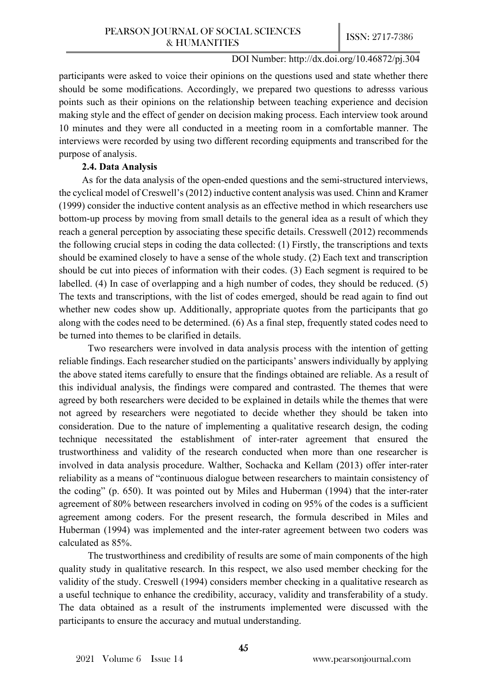participants were asked to voice their opinions on the questions used and state whether there should be some modifications. Accordingly, we prepared two questions to adresss various points such as their opinions on the relationship between teaching experience and decision making style and the effect of gender on decision making process. Each interview took around 10 minutes and they were all conducted in a meeting room in a comfortable manner. The interviews were recorded by using two different recording equipments and transcribed for the purpose of analysis.

## **2.4. Data Analysis**

As for the data analysis of the open-ended questions and the semi-structured interviews, the cyclical model of Creswell's (2012) inductive content analysis was used. Chinn and Kramer (1999) consider the inductive content analysis as an effective method in which researchers use bottom-up process by moving from small details to the general idea as a result of which they reach a general perception by associating these specific details. Cresswell (2012) recommends the following crucial steps in coding the data collected: (1) Firstly, the transcriptions and texts should be examined closely to have a sense of the whole study. (2) Each text and transcription should be cut into pieces of information with their codes. (3) Each segment is required to be labelled. (4) In case of overlapping and a high number of codes, they should be reduced. (5) The texts and transcriptions, with the list of codes emerged, should be read again to find out whether new codes show up. Additionally, appropriate quotes from the participants that go along with the codes need to be determined. (6) As a final step, frequently stated codes need to be turned into themes to be clarified in details.

Two researchers were involved in data analysis process with the intention of getting reliable findings. Each researcher studied on the participants' answers individually by applying the above stated items carefully to ensure that the findings obtained are reliable. As a result of this individual analysis, the findings were compared and contrasted. The themes that were agreed by both researchers were decided to be explained in details while the themes that were not agreed by researchers were negotiated to decide whether they should be taken into consideration. Due to the nature of implementing a qualitative research design, the coding technique necessitated the establishment of inter-rater agreement that ensured the trustworthiness and validity of the research conducted when more than one researcher is involved in data analysis procedure. Walther, Sochacka and Kellam (2013) offer inter-rater reliability as a means of "continuous dialogue between researchers to maintain consistency of the coding" (p. 650). It was pointed out by Miles and Huberman (1994) that the inter-rater agreement of 80% between researchers involved in coding on 95% of the codes is a sufficient agreement among coders. For the present research, the formula described in Miles and Huberman (1994) was implemented and the inter-rater agreement between two coders was calculated as 85%.

The trustworthiness and credibility of results are some of main components of the high quality study in qualitative research. In this respect, we also used member checking for the validity of the study. Creswell (1994) considers member checking in a qualitative research as a useful technique to enhance the credibility, accuracy, validity and transferability of a study. The data obtained as a result of the instruments implemented were discussed with the participants to ensure the accuracy and mutual understanding.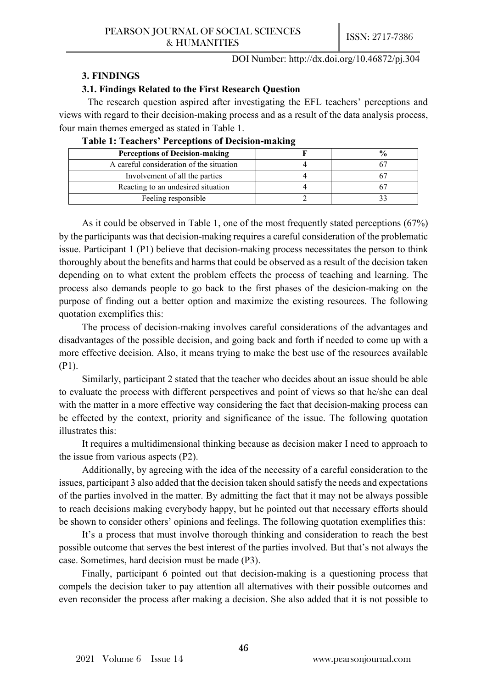#### **3. FINDINGS**

## **3.1. Findings Related to the First Research Question**

The research question aspired after investigating the EFL teachers' perceptions and views with regard to their decision-making process and as a result of the data analysis process, four main themes emerged as stated in Table 1.

| <b>Perceptions of Decision-making</b>    |  |
|------------------------------------------|--|
| A careful consideration of the situation |  |
| Involvement of all the parties           |  |
| Reacting to an undesired situation       |  |
| Feeling responsible                      |  |

As it could be observed in Table 1, one of the most frequently stated perceptions (67%) by the participants was that decision-making requires a careful consideration of the problematic issue. Participant 1 (P1) believe that decision-making process necessitates the person to think thoroughly about the benefits and harms that could be observed as a result of the decision taken depending on to what extent the problem effects the process of teaching and learning. The process also demands people to go back to the first phases of the desicion-making on the purpose of finding out a better option and maximize the existing resources. The following quotation exemplifies this:

The process of decision-making involves careful considerations of the advantages and disadvantages of the possible decision, and going back and forth if needed to come up with a more effective decision. Also, it means trying to make the best use of the resources available (P1).

Similarly, participant 2 stated that the teacher who decides about an issue should be able to evaluate the process with different perspectives and point of views so that he/she can deal with the matter in a more effective way considering the fact that decision-making process can be effected by the context, priority and significance of the issue. The following quotation illustrates this:

It requires a multidimensional thinking because as decision maker I need to approach to the issue from various aspects (P2).

Additionally, by agreeing with the idea of the necessity of a careful consideration to the issues, participant 3 also added that the decision taken should satisfy the needs and expectations of the parties involved in the matter. By admitting the fact that it may not be always possible to reach decisions making everybody happy, but he pointed out that necessary efforts should be shown to consider others' opinions and feelings. The following quotation exemplifies this:

It's a process that must involve thorough thinking and consideration to reach the best possible outcome that serves the best interest of the parties involved. But that's not always the case. Sometimes, hard decision must be made (P3).

Finally, participant 6 pointed out that decision-making is a questioning process that compels the decision taker to pay attention all alternatives with their possible outcomes and even reconsider the process after making a decision. She also added that it is not possible to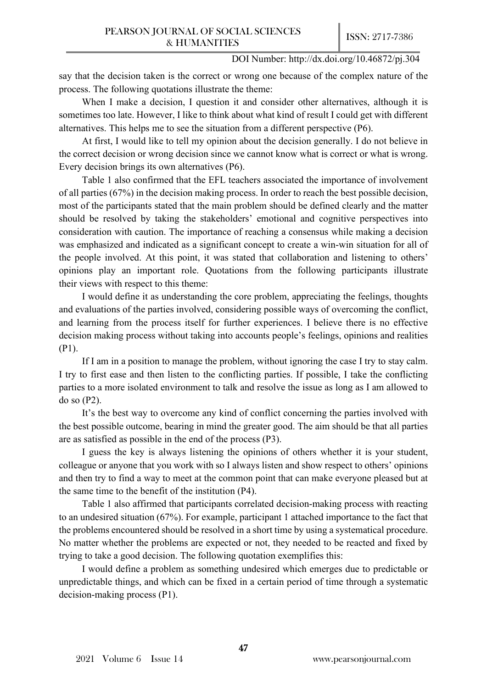say that the decision taken is the correct or wrong one because of the complex nature of the process. The following quotations illustrate the theme:

When I make a decision, I question it and consider other alternatives, although it is sometimes too late. However, I like to think about what kind of result I could get with different alternatives. This helps me to see the situation from a different perspective (P6).

At first, I would like to tell my opinion about the decision generally. I do not believe in the correct decision or wrong decision since we cannot know what is correct or what is wrong. Every decision brings its own alternatives (P6).

Table 1 also confirmed that the EFL teachers associated the importance of involvement of all parties (67%) in the decision making process. In order to reach the best possible decision, most of the participants stated that the main problem should be defined clearly and the matter should be resolved by taking the stakeholders' emotional and cognitive perspectives into consideration with caution. The importance of reaching a consensus while making a decision was emphasized and indicated as a significant concept to create a win-win situation for all of the people involved. At this point, it was stated that collaboration and listening to others' opinions play an important role. Quotations from the following participants illustrate their views with respect to this theme:

I would define it as understanding the core problem, appreciating the feelings, thoughts and evaluations of the parties involved, considering possible ways of overcoming the conflict, and learning from the process itself for further experiences. I believe there is no effective decision making process without taking into accounts people's feelings, opinions and realities (P1).

If I am in a position to manage the problem, without ignoring the case I try to stay calm. I try to first ease and then listen to the conflicting parties. If possible, I take the conflicting parties to a more isolated environment to talk and resolve the issue as long as I am allowed to do so (P2).

It's the best way to overcome any kind of conflict concerning the parties involved with the best possible outcome, bearing in mind the greater good. The aim should be that all parties are as satisfied as possible in the end of the process (P3).

I guess the key is always listening the opinions of others whether it is your student, colleague or anyone that you work with so I always listen and show respect to others' opinions and then try to find a way to meet at the common point that can make everyone pleased but at the same time to the benefit of the institution (P4).

Table 1 also affirmed that participants correlated decision-making process with reacting to an undesired situation (67%). For example, participant 1 attached importance to the fact that the problems encountered should be resolved in a short time by using a systematical procedure. No matter whether the problems are expected or not, they needed to be reacted and fixed by trying to take a good decision. The following quotation exemplifies this:

I would define a problem as something undesired which emerges due to predictable or unpredictable things, and which can be fixed in a certain period of time through a systematic decision-making process (P1).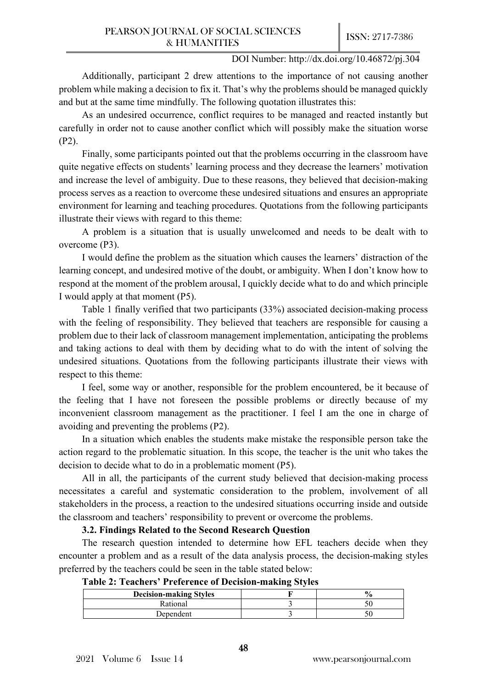Additionally, participant 2 drew attentions to the importance of not causing another problem while making a decision to fix it. That's why the problems should be managed quickly and but at the same time mindfully. The following quotation illustrates this:

As an undesired occurrence, conflict requires to be managed and reacted instantly but carefully in order not to cause another conflict which will possibly make the situation worse (P2).

Finally, some participants pointed out that the problems occurring in the classroom have quite negative effects on students' learning process and they decrease the learners' motivation and increase the level of ambiguity. Due to these reasons, they believed that decision-making process serves as a reaction to overcome these undesired situations and ensures an appropriate environment for learning and teaching procedures. Quotations from the following participants illustrate their views with regard to this theme:

A problem is a situation that is usually unwelcomed and needs to be dealt with to overcome (P3).

I would define the problem as the situation which causes the learners' distraction of the learning concept, and undesired motive of the doubt, or ambiguity. When I don't know how to respond at the moment of the problem arousal, I quickly decide what to do and which principle I would apply at that moment (P5).

Table 1 finally verified that two participants (33%) associated decision-making process with the feeling of responsibility. They believed that teachers are responsible for causing a problem due to their lack of classroom management implementation, anticipating the problems and taking actions to deal with them by deciding what to do with the intent of solving the undesired situations. Quotations from the following participants illustrate their views with respect to this theme:

I feel, some way or another, responsible for the problem encountered, be it because of the feeling that I have not foreseen the possible problems or directly because of my inconvenient classroom management as the practitioner. I feel I am the one in charge of avoiding and preventing the problems (P2).

In a situation which enables the students make mistake the responsible person take the action regard to the problematic situation. In this scope, the teacher is the unit who takes the decision to decide what to do in a problematic moment (P5).

All in all, the participants of the current study believed that decision-making process necessitates a careful and systematic consideration to the problem, involvement of all stakeholders in the process, a reaction to the undesired situations occurring inside and outside the classroom and teachers' responsibility to prevent or overcome the problems.

#### **3.2. Findings Related to the Second Research Question**

The research question intended to determine how EFL teachers decide when they encounter a problem and as a result of the data analysis process, the decision-making styles preferred by the teachers could be seen in the table stated below:

| Table 2: Teachers' Preference of Decision-making Styles |  |  |  |  |  |
|---------------------------------------------------------|--|--|--|--|--|
|---------------------------------------------------------|--|--|--|--|--|

|                               | . . |               |
|-------------------------------|-----|---------------|
| <b>Decision-making Styles</b> |     | $\frac{1}{2}$ |
| Rational                      |     |               |
| )ependent                     |     |               |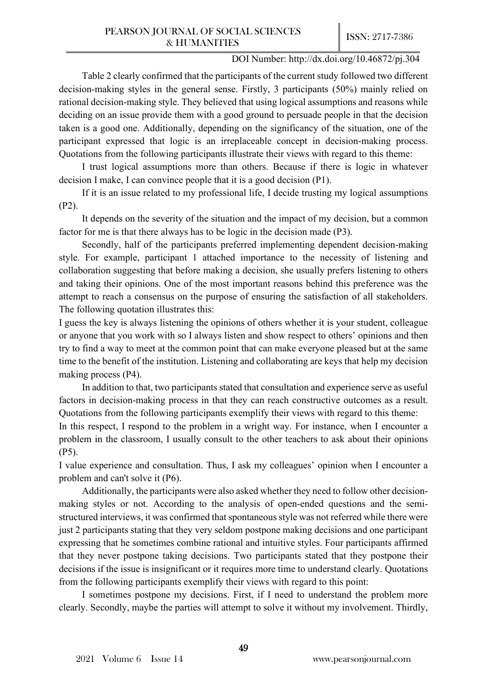Table 2 clearly confirmed that the participants of the current study followed two different decision-making styles in the general sense. Firstly, 3 participants (50%) mainly relied on rational decision-making style. They believed that using logical assumptions and reasons while deciding on an issue provide them with a good ground to persuade people in that the decision taken is a good one. Additionally, depending on the significancy of the situation, one of the participant expressed that logic is an irreplaceable concept in decision-making process. Quotations from the following participants illustrate their views with regard to this theme:

I trust logical assumptions more than others. Because if there is logic in whatever decision I make, I can convince people that it is a good decision (P1).

If it is an issue related to my professional life, I decide trusting my logical assumptions (P2).

It depends on the severity of the situation and the impact of my decision, but a common factor for me is that there always has to be logic in the decision made (P3).

Secondly, half of the participants preferred implementing dependent decision-making style. For example, participant 1 attached importance to the necessity of listening and collaboration suggesting that before making a decision, she usually prefers listening to others and taking their opinions. One of the most important reasons behind this preference was the attempt to reach a consensus on the purpose of ensuring the satisfaction of all stakeholders. The following quotation illustrates this:

I guess the key is always listening the opinions of others whether it is your student, colleague or anyone that you work with so I always listen and show respect to others' opinions and then try to find a way to meet at the common point that can make everyone pleased but at the same time to the benefit of the institution. Listening and collaborating are keys that help my decision making process (P4).

In addition to that, two participants stated that consultation and experience serve as useful factors in decision-making process in that they can reach constructive outcomes as a result. Quotations from the following participants exemplify their views with regard to this theme:

In this respect, I respond to the problem in a wright way. For instance, when I encounter a problem in the classroom, I usually consult to the other teachers to ask about their opinions (P5).

I value experience and consultation. Thus, I ask my colleagues' opinion when I encounter a problem and can't solve it (P6).

Additionally, the participants were also asked whether they need to follow other decisionmaking styles or not. According to the analysis of open-ended questions and the semistructured interviews, it was confirmed that spontaneous style was not referred while there were just 2 participants stating that they very seldom postpone making decisions and one participant expressing that he sometimes combine rational and intuitive styles. Four participants affirmed that they never postpone taking decisions. Two participants stated that they postpone their decisions if the issue is insignificant or it requires more time to understand clearly. Quotations from the following participants exemplify their views with regard to this point:

I sometimes postpone my decisions. First, if I need to understand the problem more clearly. Secondly, maybe the parties will attempt to solve it without my involvement. Thirdly,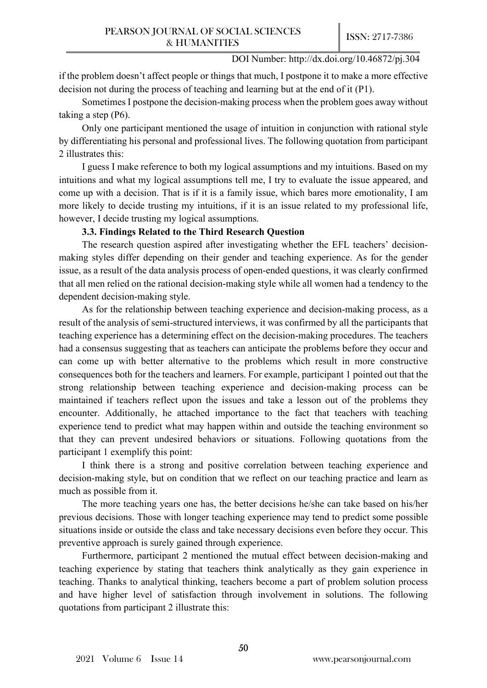if the problem doesn't affect people or things that much, I postpone it to make a more effective decision not during the process of teaching and learning but at the end of it (P1).

Sometimes I postpone the decision-making process when the problem goes away without taking a step (P6).

Only one participant mentioned the usage of intuition in conjunction with rational style by differentiating his personal and professional lives. The following quotation from participant 2 illustrates this:

I guess I make reference to both my logical assumptions and my intuitions. Based on my intuitions and what my logical assumptions tell me, I try to evaluate the issue appeared, and come up with a decision. That is if it is a family issue, which bares more emotionality, I am more likely to decide trusting my intuitions, if it is an issue related to my professional life, however, I decide trusting my logical assumptions.

## **3.3. Findings Related to the Third Research Question**

The research question aspired after investigating whether the EFL teachers' decisionmaking styles differ depending on their gender and teaching experience. As for the gender issue, as a result of the data analysis process of open-ended questions, it was clearly confirmed that all men relied on the rational decision-making style while all women had a tendency to the dependent decision-making style.

As for the relationship between teaching experience and decision-making process, as a result of the analysis of semi-structured interviews, it was confirmed by all the participants that teaching experience has a determining effect on the decision-making procedures. The teachers had a consensus suggesting that as teachers can anticipate the problems before they occur and can come up with better alternative to the problems which result in more constructive consequences both for the teachers and learners. For example, participant 1 pointed out that the strong relationship between teaching experience and decision-making process can be maintained if teachers reflect upon the issues and take a lesson out of the problems they encounter. Additionally, he attached importance to the fact that teachers with teaching experience tend to predict what may happen within and outside the teaching environment so that they can prevent undesired behaviors or situations. Following quotations from the participant 1 exemplify this point:

I think there is a strong and positive correlation between teaching experience and decision-making style, but on condition that we reflect on our teaching practice and learn as much as possible from it.

The more teaching years one has, the better decisions he/she can take based on his/her previous decisions. Those with longer teaching experience may tend to predict some possible situations inside or outside the class and take necessary decisions even before they occur. This preventive approach is surely gained through experience.

Furthermore, participant 2 mentioned the mutual effect between decision-making and teaching experience by stating that teachers think analytically as they gain experience in teaching. Thanks to analytical thinking, teachers become a part of problem solution process and have higher level of satisfaction through involvement in solutions. The following quotations from participant 2 illustrate this: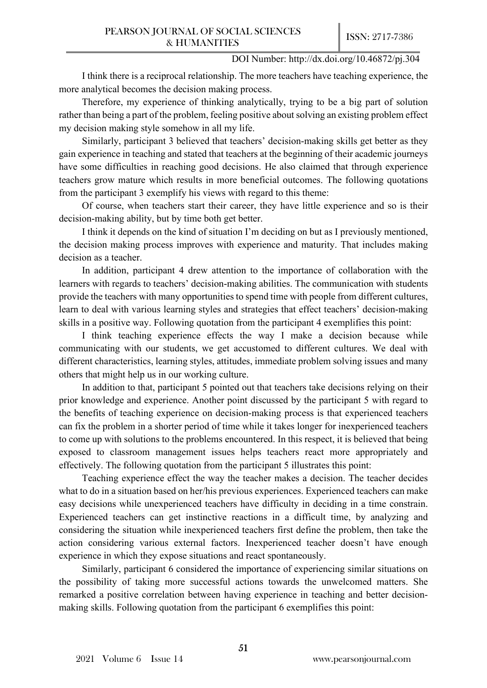I think there is a reciprocal relationship. The more teachers have teaching experience, the more analytical becomes the decision making process.

Therefore, my experience of thinking analytically, trying to be a big part of solution rather than being a part of the problem, feeling positive about solving an existing problem effect my decision making style somehow in all my life.

Similarly, participant 3 believed that teachers' decision-making skills get better as they gain experience in teaching and stated that teachers at the beginning of their academic journeys have some difficulties in reaching good decisions. He also claimed that through experience teachers grow mature which results in more beneficial outcomes. The following quotations from the participant 3 exemplify his views with regard to this theme:

Of course, when teachers start their career, they have little experience and so is their decision-making ability, but by time both get better.

I think it depends on the kind of situation I'm deciding on but as I previously mentioned, the decision making process improves with experience and maturity. That includes making decision as a teacher.

In addition, participant 4 drew attention to the importance of collaboration with the learners with regards to teachers' decision-making abilities. The communication with students provide the teachers with many opportunities to spend time with people from different cultures, learn to deal with various learning styles and strategies that effect teachers' decision-making skills in a positive way. Following quotation from the participant 4 exemplifies this point:

I think teaching experience effects the way I make a decision because while communicating with our students, we get accustomed to different cultures. We deal with different characteristics, learning styles, attitudes, immediate problem solving issues and many others that might help us in our working culture.

In addition to that, participant 5 pointed out that teachers take decisions relying on their prior knowledge and experience. Another point discussed by the participant 5 with regard to the benefits of teaching experience on decision-making process is that experienced teachers can fix the problem in a shorter period of time while it takes longer for inexperienced teachers to come up with solutions to the problems encountered. In this respect, it is believed that being exposed to classroom management issues helps teachers react more appropriately and effectively. The following quotation from the participant 5 illustrates this point:

Teaching experience effect the way the teacher makes a decision. The teacher decides what to do in a situation based on her/his previous experiences. Experienced teachers can make easy decisions while unexperienced teachers have difficulty in deciding in a time constrain. Experienced teachers can get instinctive reactions in a difficult time, by analyzing and considering the situation while inexperienced teachers first define the problem, then take the action considering various external factors. Inexperienced teacher doesn't have enough experience in which they expose situations and react spontaneously.

Similarly, participant 6 considered the importance of experiencing similar situations on the possibility of taking more successful actions towards the unwelcomed matters. She remarked a positive correlation between having experience in teaching and better decisionmaking skills. Following quotation from the participant 6 exemplifies this point: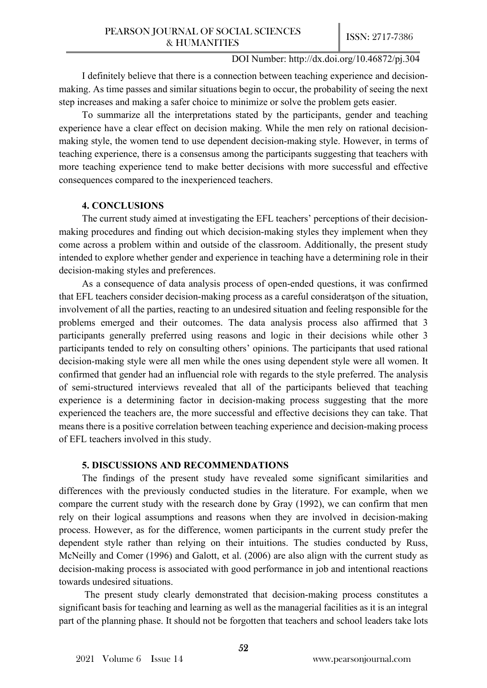I definitely believe that there is a connection between teaching experience and decisionmaking. As time passes and similar situations begin to occur, the probability of seeing the next step increases and making a safer choice to minimize or solve the problem gets easier.

To summarize all the interpretations stated by the participants, gender and teaching experience have a clear effect on decision making. While the men rely on rational decisionmaking style, the women tend to use dependent decision-making style. However, in terms of teaching experience, there is a consensus among the participants suggesting that teachers with more teaching experience tend to make better decisions with more successful and effective consequences compared to the inexperienced teachers.

## **4. CONCLUSIONS**

The current study aimed at investigating the EFL teachers' perceptions of their decisionmaking procedures and finding out which decision-making styles they implement when they come across a problem within and outside of the classroom. Additionally, the present study intended to explore whether gender and experience in teaching have a determining role in their decision-making styles and preferences.

As a consequence of data analysis process of open-ended questions, it was confirmed that EFL teachers consider decision-making process as a careful consideratşon of the situation, involvement of all the parties, reacting to an undesired situation and feeling responsible for the problems emerged and their outcomes. The data analysis process also affirmed that 3 participants generally preferred using reasons and logic in their decisions while other 3 participants tended to rely on consulting others' opinions. The participants that used rational decision-making style were all men while the ones using dependent style were all women. It confirmed that gender had an influencial role with regards to the style preferred. The analysis of semi-structured interviews revealed that all of the participants believed that teaching experience is a determining factor in decision-making process suggesting that the more experienced the teachers are, the more successful and effective decisions they can take. That means there is a positive correlation between teaching experience and decision-making process of EFL teachers involved in this study.

## **5. DISCUSSIONS AND RECOMMENDATIONS**

The findings of the present study have revealed some significant similarities and differences with the previously conducted studies in the literature. For example, when we compare the current study with the research done by Gray (1992), we can confirm that men rely on their logical assumptions and reasons when they are involved in decision-making process. However, as for the difference, women participants in the current study prefer the dependent style rather than relying on their intuitions. The studies conducted by Russ, McNeilly and Comer (1996) and Galott, et al. (2006) are also align with the current study as decision-making process is associated with good performance in job and intentional reactions towards undesired situations.

The present study clearly demonstrated that decision-making process constitutes a significant basis for teaching and learning as well as the managerial facilities as it is an integral part of the planning phase. It should not be forgotten that teachers and school leaders take lots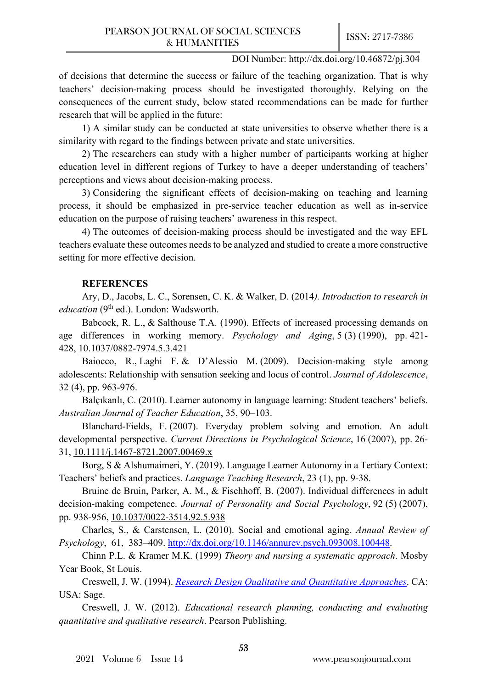of decisions that determine the success or failure of the teaching organization. That is why teachers' decision-making process should be investigated thoroughly. Relying on the consequences of the current study, below stated recommendations can be made for further research that will be applied in the future:

1) A similar study can be conducted at state universities to observe whether there is a similarity with regard to the findings between private and state universities.

2) The researchers can study with a higher number of participants working at higher education level in different regions of Turkey to have a deeper understanding of teachers' perceptions and views about decision-making process.

3) Considering the significant effects of decision-making on teaching and learning process, it should be emphasized in pre-service teacher education as well as in-service education on the purpose of raising teachers' awareness in this respect.

4) The outcomes of decision-making process should be investigated and the way EFL teachers evaluate these outcomes needs to be analyzed and studied to create a more constructive setting for more effective decision.

## **REFERENCES**

Ary, D., Jacobs, L. C., Sorensen, C. K. & Walker, D. (2014*). Introduction to research in education* (9<sup>th</sup> ed.). London: Wadsworth.

Babcock, R. L., & Salthouse T.A. (1990). Effects of increased processing demands on age differences in working memory. *Psychology and Aging*, 5 (3) (1990), pp. 421- 428, [10.1037/0882-](https://doi.org/10.1037/0882-7974.5.3.421)7974.5.3.421

Baiocco, R., Laghi F. & D'Alessio M. (2009). Decision-making style among adolescents: Relationship with sensation seeking and locus of control. *Journal of Adolescence*, 32 (4), pp. 963-976.

Balçıkanlı, C. (2010). Learner autonomy in language learning: Student teachers' beliefs. *Australian Journal of Teacher Education*, 35, 90–103.

Blanchard-Fields, F. (2007). Everyday problem solving and emotion. An adult developmental perspective. *Current Directions in Psychological Science*, 16 (2007), pp. 26- 31, 10.1111/j.1467-[8721.2007.00469.x](https://doi.org/10.1111/j.1467-8721.2007.00469.x)

Borg, S & Alshumaimeri, Y. (2019). Language Learner Autonomy in a Tertiary Context: Teachers' beliefs and practices. *Language Teaching Research*, 23 (1), pp. 9-38.

Bruine de Bruin, Parker, A. M., & Fischhoff, B. (2007). Individual differences in adult decision-making competence. *Journal of Personality and Social Psychology*, 92 (5) (2007), pp. 938-956, [10.1037/0022-](https://doi.org/10.1037/0022-3514.92.5.938)3514.92.5.938

Charles, S., & Carstensen, L. (2010). Social and emotional aging. *Annual Review of Psychology*, 61, 383–409. [http://dx.doi.org/10.1146/annurev.psych.0930](http://dx.doi.org/10.1146/annurev.psych.093008.100448)08.100448.

Chinn P.L. & Kramer M.K. (1999) *Theory and nursing a systematic approach*. Mosby Year Book, St Louis.

Creswell, J. W. (1994). *[Research Design Qualitative and Quantitative Approaches](https://archive.org/details/researchdesignqu0000cres)*. CA: USA: Sage.

Creswell, J. W. (2012). *Educational research planning, conducting and evaluating quantitative and qualitative research*. Pearson Publishing.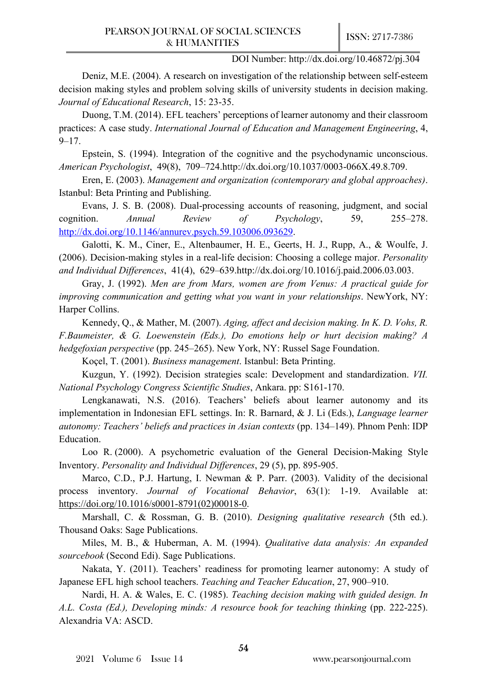Deniz, M.E. (2004). A research on investigation of the relationship between self-esteem decision making styles and problem solving skills of university students in decision making. *Journal of Educational Research*, 15: 23-35.

Duong, T.M. (2014). EFL teachers' perceptions of learner autonomy and their classroom practices: A case study. *International Journal of Education and Management Engineering*, 4,  $9 - 17.$ 

Epstein, S. (1994). Integration of the cognitive and the psychodynamic unconscious. *American Psychologist*, 49(8), 709–724.http://dx.doi.org/10.1037/0003-066X.49.8.709.

Eren, E. (2003). *Management and organization (contemporary and global approaches)*. Istanbul: Beta Printing and Publishing.

Evans, J. S. B. (2008). Dual-processing accounts of reasoning, judgment, and social cognition. *Annual Review of Psychology*, 59, 255–278. <http://dx.doi.org/10.1146/annurev.psych.59.103006.093629>.

Galotti, K. M., Ciner, E., Altenbaumer, H. E., Geerts, H. J., Rupp, A., & Woulfe, J. (2006). Decision-making styles in a real-life decision: Choosing a college major. *Personality and Individual Differences*, 41(4), 629–639.http://dx.doi.org/10.1016/j.paid.2006.03.003.

Gray, J. (1992). *Men are from Mars, women are from Venus: A practical guide for improving communication and getting what you want in your relationships*. NewYork, NY: Harper Collins.

Kennedy, Q., & Mather, M. (2007). *Aging, affect and decision making. In K. D. Vohs, R. F.Baumeister, & G. Loewenstein (Eds.), Do emotions help or hurt decision making? A hedgefoxian perspective* (pp. 245–265). New York, NY: Russel Sage Foundation.

Koçel, T. (2001). *Business management*. Istanbul: Beta Printing.

Kuzgun, Y. (1992). Decision strategies scale: Development and standardization. *VII. National Psychology Congress Scientific Studies*, Ankara. pp: S161-170.

Lengkanawati, N.S. (2016). Teachers' beliefs about learner autonomy and its implementation in Indonesian EFL settings. In: R. Barnard, & J. Li (Eds.), *Language learner autonomy: Teachers' beliefs and practices in Asian contexts* (pp. 134–149). Phnom Penh: IDP Education.

Loo R. (2000). A psychometric evaluation of the General Decision-Making Style Inventory. *Personality and Individual Differences*, 29 (5), pp. 895-905.

Marco, C.D., P.J. Hartung, I. Newman & P. Parr. (2003). Validity of the decisional process inventory. *Journal of Vocational Behavior*, 63(1): 1-19. Available at: [https://doi.org/10.1016/s0001-](https://doi.org/10.1016/s0001-8791(02)00018-0)8791(02)00018-0.

Marshall, C. & Rossman, G. B. (2010). *Designing qualitative research* (5th ed.). Thousand Oaks: Sage Publications.

Miles, M. B., & Huberman, A. M. (1994). *Qualitative data analysis: An expanded sourcebook* (Second Edi). Sage Publications.

Nakata, Y. (2011). Teachers' readiness for promoting learner autonomy: A study of Japanese EFL high school teachers. *Teaching and Teacher Education*, 27, 900–910.

Nardi, H. A. & Wales, E. C. (1985). *Teaching decision making with guided design. In A.L. Costa (Ed.), Developing minds: A resource book for teaching thinking* (pp. 222-225). Alexandria VA: ASCD.